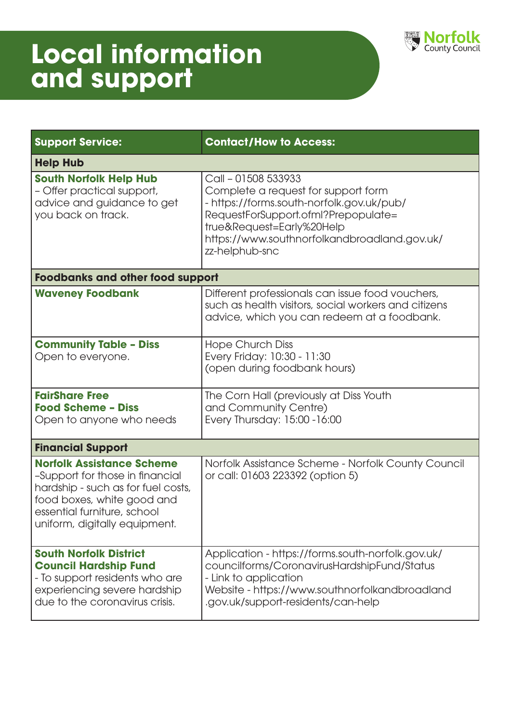

| <b>Support Service:</b>                                                                                                                                                                                 | <b>Contact/How to Access:</b>                                                                                                                                                                                                                 |  |
|---------------------------------------------------------------------------------------------------------------------------------------------------------------------------------------------------------|-----------------------------------------------------------------------------------------------------------------------------------------------------------------------------------------------------------------------------------------------|--|
| <b>Help Hub</b>                                                                                                                                                                                         |                                                                                                                                                                                                                                               |  |
| <b>South Norfolk Help Hub</b><br>- Offer practical support,<br>advice and guidance to get<br>you back on track.                                                                                         | Call - 01508 533933<br>Complete a request for support form<br>- https://forms.south-norfolk.gov.uk/pub/<br>RequestForSupport.ofml?Prepopulate=<br>true&Request=Early%20Help<br>https://www.southnorfolkandbroadland.gov.uk/<br>zz-helphub-snc |  |
| <b>Foodbanks and other food support</b>                                                                                                                                                                 |                                                                                                                                                                                                                                               |  |
| <b>Waveney Foodbank</b>                                                                                                                                                                                 | Different professionals can issue food vouchers,<br>such as health visitors, social workers and citizens<br>advice, which you can redeem at a foodbank.                                                                                       |  |
| <b>Community Table - Diss</b><br>Open to everyone.                                                                                                                                                      | <b>Hope Church Diss</b><br>Every Friday: 10:30 - 11:30<br>(open during foodbank hours)                                                                                                                                                        |  |
| <b>FairShare Free</b><br><b>Food Scheme - Diss</b><br>Open to anyone who needs                                                                                                                          | The Corn Hall (previously at Diss Youth<br>and Community Centre)<br>Every Thursday: 15:00 - 16:00                                                                                                                                             |  |
| <b>Financial Support</b>                                                                                                                                                                                |                                                                                                                                                                                                                                               |  |
| <b>Norfolk Assistance Scheme</b><br>-Support for those in financial<br>hardship - such as for fuel costs,<br>food boxes, white good and<br>essential furniture, school<br>uniform, digitally equipment. | Norfolk Assistance Scheme - Norfolk County Council<br>or call: 01603 223392 (option 5)                                                                                                                                                        |  |
| <b>South Norfolk District</b><br><b>Council Hardship Fund</b><br>- To support residents who are<br>experiencing severe hardship<br>due to the coronavirus crisis.                                       | Application - https://forms.south-norfolk.gov.uk/<br>councilforms/CoronavirusHardshipFund/Status<br>- Link to application<br>Website - https://www.southnorfolkandbroadland<br>.gov.uk/support-residents/can-help                             |  |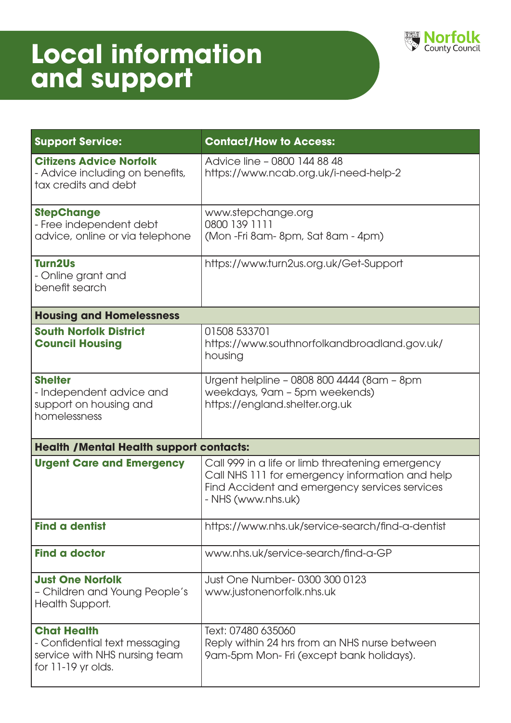

| <b>Support Service:</b>                                                                                    | <b>Contact/How to Access:</b>                                                                                                                                              |  |
|------------------------------------------------------------------------------------------------------------|----------------------------------------------------------------------------------------------------------------------------------------------------------------------------|--|
| <b>Citizens Advice Norfolk</b><br>- Advice including on benefits,<br>tax credits and debt                  | Advice line - 0800 144 88 48<br>https://www.ncab.org.uk/i-need-help-2                                                                                                      |  |
| <b>StepChange</b><br>- Free independent debt<br>advice, online or via telephone                            | www.stepchange.org<br>0800 139 1111<br>(Mon-Fri 8am-8pm, Sat 8am - 4pm)                                                                                                    |  |
| <b>Turn2Us</b><br>- Online grant and<br>benefit search                                                     | https://www.turn2us.org.uk/Get-Support                                                                                                                                     |  |
| <b>Housing and Homelessness</b>                                                                            |                                                                                                                                                                            |  |
| <b>South Norfolk District</b><br><b>Council Housing</b>                                                    | 01508 533701<br>https://www.southnorfolkandbroadland.gov.uk/<br>housing                                                                                                    |  |
| <b>Shelter</b><br>- Independent advice and<br>support on housing and<br>homelessness                       | Urgent helpline - 0808 800 4444 (8am - 8pm<br>weekdays, 9am - 5pm weekends)<br>https://england.shelter.org.uk                                                              |  |
| <b>Health /Mental Health support contacts:</b>                                                             |                                                                                                                                                                            |  |
| <b>Urgent Care and Emergency</b>                                                                           | Call 999 in a life or limb threatening emergency<br>Call NHS 111 for emergency information and help<br>Find Accident and emergency services services<br>- NHS (www.nhs.uk) |  |
| <b>Find a dentist</b>                                                                                      | https://www.nhs.uk/service-search/find-a-dentist                                                                                                                           |  |
| <b>Find a doctor</b>                                                                                       | www.nhs.uk/service-search/find-a-GP                                                                                                                                        |  |
| <b>Just One Norfolk</b><br>- Children and Young People's<br>Health Support.                                | Just One Number-0300 300 0123<br>www.justonenorfolk.nhs.uk                                                                                                                 |  |
| <b>Chat Health</b><br>- Confidential text messaging<br>service with NHS nursing team<br>for 11-19 yr olds. | Text: 07480 635060<br>Reply within 24 hrs from an NHS nurse between<br>9am-5pm Mon- Fri (except bank holidays).                                                            |  |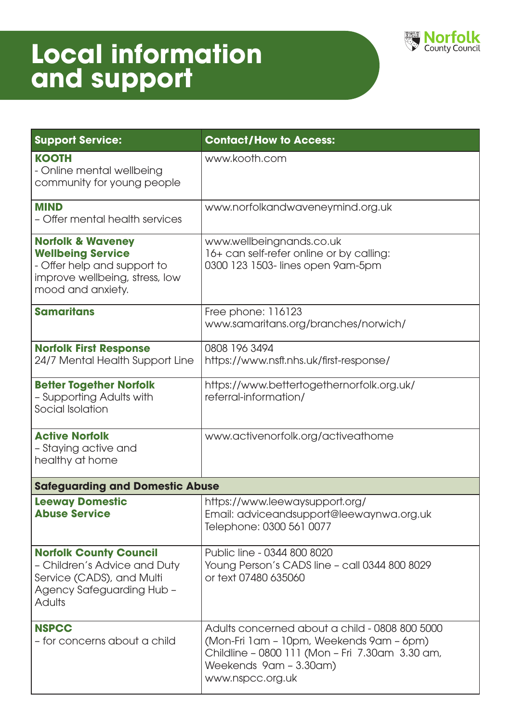

| <b>Support Service:</b>                                                                                                                         | <b>Contact/How to Access:</b>                                                                                                                                                               |  |
|-------------------------------------------------------------------------------------------------------------------------------------------------|---------------------------------------------------------------------------------------------------------------------------------------------------------------------------------------------|--|
| <b>KOOTH</b><br>- Online mental wellbeing<br>community for young people                                                                         | www.kooth.com                                                                                                                                                                               |  |
| <b>MIND</b><br>- Offer mental health services                                                                                                   | www.norfolkandwaveneymind.org.uk                                                                                                                                                            |  |
| <b>Norfolk &amp; Waveney</b><br><b>Wellbeing Service</b><br>- Offer help and support to<br>improve wellbeing, stress, low<br>mood and anxiety.  | www.wellbeingnands.co.uk<br>16+ can self-refer online or by calling:<br>0300 123 1503-lines open 9am-5pm                                                                                    |  |
| <b>Samaritans</b>                                                                                                                               | Free phone: 116123<br>www.samaritans.org/branches/norwich/                                                                                                                                  |  |
| <b>Norfolk First Response</b><br>24/7 Mental Health Support Line                                                                                | 0808 196 3494<br>https://www.nsft.nhs.uk/first-response/                                                                                                                                    |  |
| <b>Better Together Norfolk</b><br>- Supporting Adults with<br>Social Isolation                                                                  | https://www.bettertogethernorfolk.org.uk/<br>referral-information/                                                                                                                          |  |
| <b>Active Norfolk</b><br>- Staying active and<br>healthy at home                                                                                | www.activenorfolk.org/activeathome                                                                                                                                                          |  |
| <b>Safeguarding and Domestic Abuse</b>                                                                                                          |                                                                                                                                                                                             |  |
| <b>Leeway Domestic</b><br><b>Abuse Service</b>                                                                                                  | https://www.leewaysupport.org/<br>Email: adviceandsupport@leewaynwa.org.uk<br>Telephone: 0300 561 0077                                                                                      |  |
| <b>Norfolk County Council</b><br>- Children's Advice and Duty<br>Service (CADS), and Multi<br><b>Agency Safeguarding Hub -</b><br><b>Adults</b> | Public line - 0344 800 8020<br>Young Person's CADS line - call 0344 800 8029<br>or text 07480 635060                                                                                        |  |
| <b>NSPCC</b><br>- for concerns about a child                                                                                                    | Adults concerned about a child - 0808 800 5000<br>(Mon-Fri 1am - 10pm, Weekends 9am - 6pm)<br>Childline - 0800 111 (Mon - Fri 7.30am 3.30 am,<br>Weekends 9am - 3.30am)<br>www.nspcc.org.uk |  |